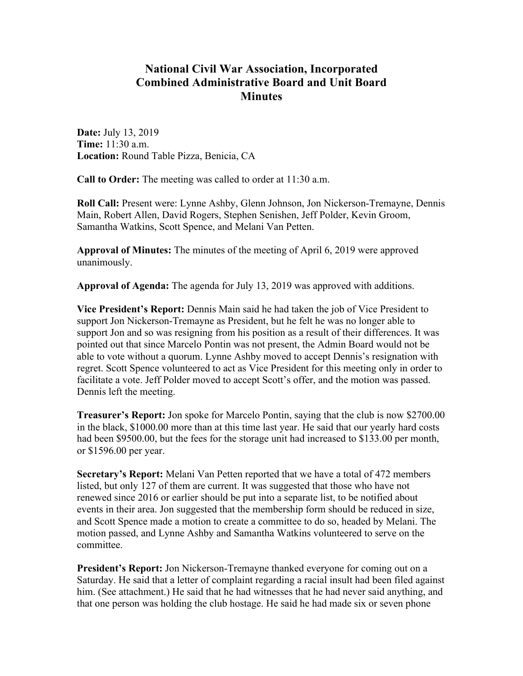# **National Civil War Association, Incorporated Combined Administrative Board and Unit Board Minutes**

**Date:** July 13, 2019 **Time:** 11:30 a.m. **Location:** Round Table Pizza, Benicia, CA

**Call to Order:** The meeting was called to order at 11:30 a.m.

**Roll Call:** Present were: Lynne Ashby, Glenn Johnson, Jon Nickerson-Tremayne, Dennis Main, Robert Allen, David Rogers, Stephen Senishen, Jeff Polder, Kevin Groom, Samantha Watkins, Scott Spence, and Melani Van Petten.

**Approval of Minutes:** The minutes of the meeting of April 6, 2019 were approved unanimously.

**Approval of Agenda:** The agenda for July 13, 2019 was approved with additions.

**Vice President's Report:** Dennis Main said he had taken the job of Vice President to support Jon Nickerson-Tremayne as President, but he felt he was no longer able to support Jon and so was resigning from his position as a result of their differences. It was pointed out that since Marcelo Pontin was not present, the Admin Board would not be able to vote without a quorum. Lynne Ashby moved to accept Dennis's resignation with regret. Scott Spence volunteered to act as Vice President for this meeting only in order to facilitate a vote. Jeff Polder moved to accept Scott's offer, and the motion was passed. Dennis left the meeting.

**Treasurer's Report:** Jon spoke for Marcelo Pontin, saying that the club is now \$2700.00 in the black, \$1000.00 more than at this time last year. He said that our yearly hard costs had been \$9500.00, but the fees for the storage unit had increased to \$133.00 per month, or \$1596.00 per year.

**Secretary's Report:** Melani Van Petten reported that we have a total of 472 members listed, but only 127 of them are current. It was suggested that those who have not renewed since 2016 or earlier should be put into a separate list, to be notified about events in their area. Jon suggested that the membership form should be reduced in size, and Scott Spence made a motion to create a committee to do so, headed by Melani. The motion passed, and Lynne Ashby and Samantha Watkins volunteered to serve on the committee.

**President's Report:** Jon Nickerson-Tremayne thanked everyone for coming out on a Saturday. He said that a letter of complaint regarding a racial insult had been filed against him. (See attachment.) He said that he had witnesses that he had never said anything, and that one person was holding the club hostage. He said he had made six or seven phone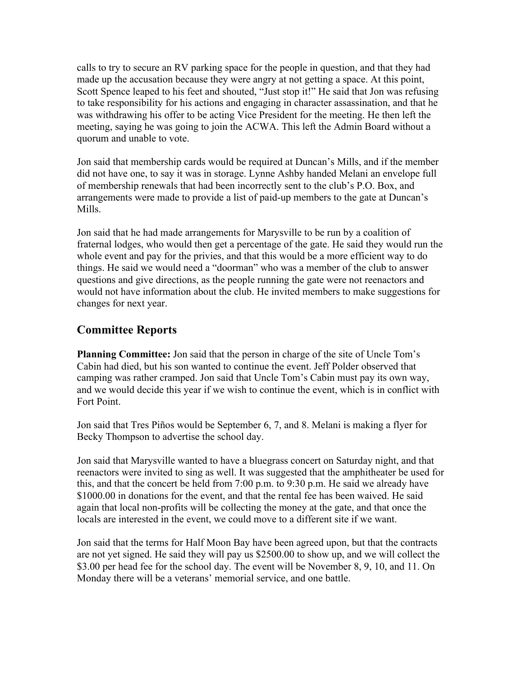calls to try to secure an RV parking space for the people in question, and that they had made up the accusation because they were angry at not getting a space. At this point, Scott Spence leaped to his feet and shouted, "Just stop it!" He said that Jon was refusing to take responsibility for his actions and engaging in character assassination, and that he was withdrawing his offer to be acting Vice President for the meeting. He then left the meeting, saying he was going to join the ACWA. This left the Admin Board without a quorum and unable to vote.

Jon said that membership cards would be required at Duncan's Mills, and if the member did not have one, to say it was in storage. Lynne Ashby handed Melani an envelope full of membership renewals that had been incorrectly sent to the club's P.O. Box, and arrangements were made to provide a list of paid-up members to the gate at Duncan's Mills.

Jon said that he had made arrangements for Marysville to be run by a coalition of fraternal lodges, who would then get a percentage of the gate. He said they would run the whole event and pay for the privies, and that this would be a more efficient way to do things. He said we would need a "doorman" who was a member of the club to answer questions and give directions, as the people running the gate were not reenactors and would not have information about the club. He invited members to make suggestions for changes for next year.

## **Committee Reports**

**Planning Committee:** Jon said that the person in charge of the site of Uncle Tom's Cabin had died, but his son wanted to continue the event. Jeff Polder observed that camping was rather cramped. Jon said that Uncle Tom's Cabin must pay its own way, and we would decide this year if we wish to continue the event, which is in conflict with Fort Point.

Jon said that Tres Piños would be September 6, 7, and 8. Melani is making a flyer for Becky Thompson to advertise the school day.

Jon said that Marysville wanted to have a bluegrass concert on Saturday night, and that reenactors were invited to sing as well. It was suggested that the amphitheater be used for this, and that the concert be held from 7:00 p.m. to 9:30 p.m. He said we already have \$1000.00 in donations for the event, and that the rental fee has been waived. He said again that local non-profits will be collecting the money at the gate, and that once the locals are interested in the event, we could move to a different site if we want.

Jon said that the terms for Half Moon Bay have been agreed upon, but that the contracts are not yet signed. He said they will pay us \$2500.00 to show up, and we will collect the \$3.00 per head fee for the school day. The event will be November 8, 9, 10, and 11. On Monday there will be a veterans' memorial service, and one battle.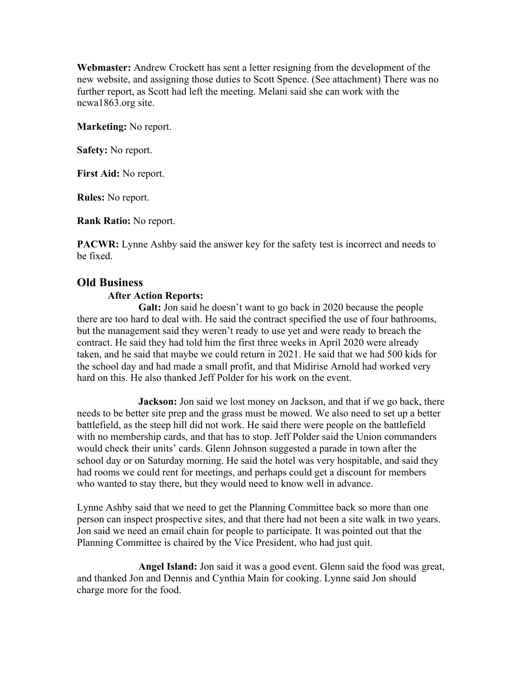**Webmaster:** Andrew Crockett has sent a letter resigning from the development of the new website, and assigning those duties to Scott Spence. (See attachment) There was no further report, as Scott had left the meeting. Melani said she can work with the ncwa1863.org site.

**Marketing:** No report.

**Safety:** No report.

**First Aid:** No report.

**Rules:** No report.

**Rank Ratio:** No report.

**PACWR:** Lynne Ashby said the answer key for the safety test is incorrect and needs to be fixed.

### **Old Business**

#### **After Action Reports:**

**Galt:** Jon said he doesn't want to go back in 2020 because the people there are too hard to deal with. He said the contract specified the use of four bathrooms, but the management said they weren't ready to use yet and were ready to breach the contract. He said they had told him the first three weeks in April 2020 were already taken, and he said that maybe we could return in 2021. He said that we had 500 kids for the school day and had made a small profit, and that Midirise Arnold had worked very hard on this. He also thanked Jeff Polder for his work on the event.

**Jackson:** Jon said we lost money on Jackson, and that if we go back, there needs to be better site prep and the grass must be mowed. We also need to set up a better battlefield, as the steep hill did not work. He said there were people on the battlefield with no membership cards, and that has to stop. Jeff Polder said the Union commanders would check their units' cards. Glenn Johnson suggested a parade in town after the school day or on Saturday morning. He said the hotel was very hospitable, and said they had rooms we could rent for meetings, and perhaps could get a discount for members who wanted to stay there, but they would need to know well in advance.

Lynne Ashby said that we need to get the Planning Committee back so more than one person can inspect prospective sites, and that there had not been a site walk in two years. Jon said we need an email chain for people to participate. It was pointed out that the Planning Committee is chaired by the Vice President, who had just quit.

**Angel Island:** Jon said it was a good event. Glenn said the food was great, and thanked Jon and Dennis and Cynthia Main for cooking. Lynne said Jon should charge more for the food.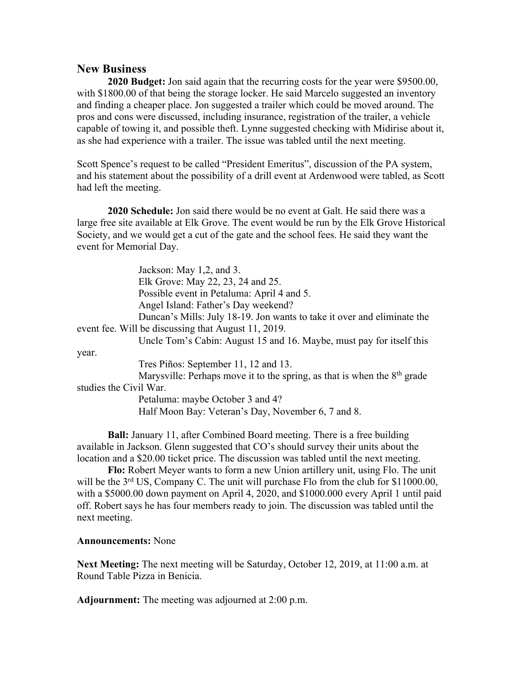## **New Business**

**2020 Budget:** Jon said again that the recurring costs for the year were \$9500.00, with \$1800.00 of that being the storage locker. He said Marcelo suggested an inventory and finding a cheaper place. Jon suggested a trailer which could be moved around. The pros and cons were discussed, including insurance, registration of the trailer, a vehicle capable of towing it, and possible theft. Lynne suggested checking with Midirise about it, as she had experience with a trailer. The issue was tabled until the next meeting.

Scott Spence's request to be called "President Emeritus", discussion of the PA system, and his statement about the possibility of a drill event at Ardenwood were tabled, as Scott had left the meeting.

**2020 Schedule:** Jon said there would be no event at Galt. He said there was a large free site available at Elk Grove. The event would be run by the Elk Grove Historical Society, and we would get a cut of the gate and the school fees. He said they want the event for Memorial Day.

Jackson: May 1,2, and 3. Elk Grove: May 22, 23, 24 and 25. Possible event in Petaluma: April 4 and 5. Angel Island: Father's Day weekend? Duncan's Mills: July 18-19. Jon wants to take it over and eliminate the event fee. Will be discussing that August 11, 2019. Uncle Tom's Cabin: August 15 and 16. Maybe, must pay for itself this year. Tres Piños: September 11, 12 and 13. Marysville: Perhaps move it to the spring, as that is when the  $8<sup>th</sup>$  grade studies the Civil War. Petaluma: maybe October 3 and 4?

Half Moon Bay: Veteran's Day, November 6, 7 and 8.

**Ball:** January 11, after Combined Board meeting. There is a free building available in Jackson. Glenn suggested that CO's should survey their units about the location and a \$20.00 ticket price. The discussion was tabled until the next meeting.

**Flo:** Robert Meyer wants to form a new Union artillery unit, using Flo. The unit will be the  $3<sup>rd</sup> US$ , Company C. The unit will purchase Flo from the club for \$11000.00, with a \$5000.00 down payment on April 4, 2020, and \$1000.000 every April 1 until paid off. Robert says he has four members ready to join. The discussion was tabled until the next meeting.

**Announcements:** None

**Next Meeting:** The next meeting will be Saturday, October 12, 2019, at 11:00 a.m. at Round Table Pizza in Benicia.

**Adjournment:** The meeting was adjourned at 2:00 p.m.